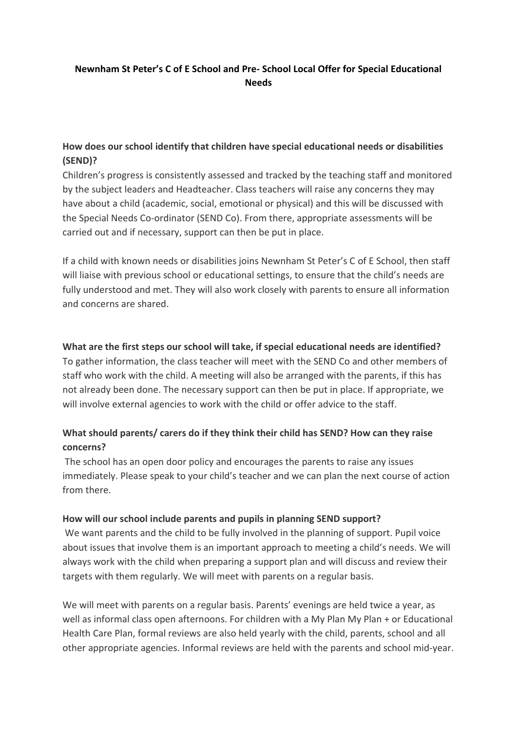# **Newnham St Peter's C of E School and Pre- School Local Offer for Special Educational Needs**

# **How does our school identify that children have special educational needs or disabilities (SEND)?**

Children's progress is consistently assessed and tracked by the teaching staff and monitored by the subject leaders and Headteacher. Class teachers will raise any concerns they may have about a child (academic, social, emotional or physical) and this will be discussed with the Special Needs Co-ordinator (SEND Co). From there, appropriate assessments will be carried out and if necessary, support can then be put in place.

If a child with known needs or disabilities joins Newnham St Peter's C of E School, then staff will liaise with previous school or educational settings, to ensure that the child's needs are fully understood and met. They will also work closely with parents to ensure all information and concerns are shared.

### **What are the first steps our school will take, if special educational needs are identified?**

To gather information, the class teacher will meet with the SEND Co and other members of staff who work with the child. A meeting will also be arranged with the parents, if this has not already been done. The necessary support can then be put in place. If appropriate, we will involve external agencies to work with the child or offer advice to the staff.

# **What should parents/ carers do if they think their child has SEND? How can they raise concerns?**

The school has an open door policy and encourages the parents to raise any issues immediately. Please speak to your child's teacher and we can plan the next course of action from there.

### **How will our school include parents and pupils in planning SEND support?**

We want parents and the child to be fully involved in the planning of support. Pupil voice about issues that involve them is an important approach to meeting a child's needs. We will always work with the child when preparing a support plan and will discuss and review their targets with them regularly. We will meet with parents on a regular basis.

We will meet with parents on a regular basis. Parents' evenings are held twice a year, as well as informal class open afternoons. For children with a My Plan My Plan + or Educational Health Care Plan, formal reviews are also held yearly with the child, parents, school and all other appropriate agencies. Informal reviews are held with the parents and school mid-year.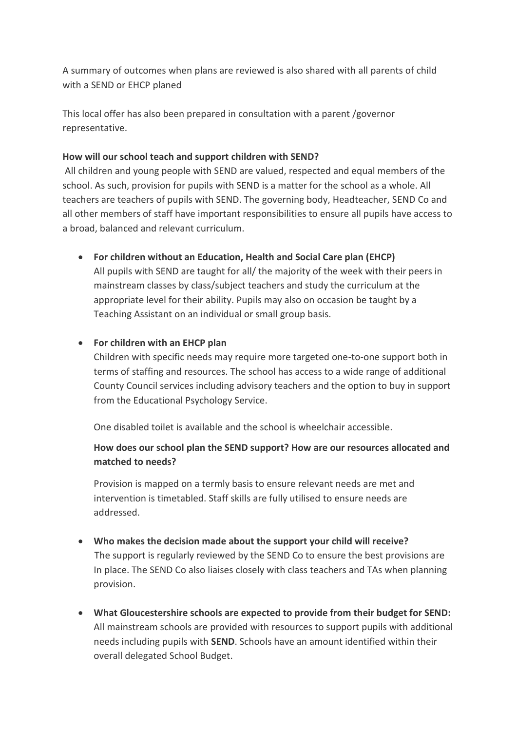A summary of outcomes when plans are reviewed is also shared with all parents of child with a SEND or EHCP planed

This local offer has also been prepared in consultation with a parent /governor representative.

#### **How will our school teach and support children with SEND?**

All children and young people with SEND are valued, respected and equal members of the school. As such, provision for pupils with SEND is a matter for the school as a whole. All teachers are teachers of pupils with SEND. The governing body, Headteacher, SEND Co and all other members of staff have important responsibilities to ensure all pupils have access to a broad, balanced and relevant curriculum.

**For children without an Education, Health and Social Care plan (EHCP)**

All pupils with SEND are taught for all/ the majority of the week with their peers in mainstream classes by class/subject teachers and study the curriculum at the appropriate level for their ability. Pupils may also on occasion be taught by a Teaching Assistant on an individual or small group basis.

### **For children with an EHCP plan**

Children with specific needs may require more targeted one-to-one support both in terms of staffing and resources. The school has access to a wide range of additional County Council services including advisory teachers and the option to buy in support from the Educational Psychology Service.

One disabled toilet is available and the school is wheelchair accessible.

# **How does our school plan the SEND support? How are our resources allocated and matched to needs?**

Provision is mapped on a termly basis to ensure relevant needs are met and intervention is timetabled. Staff skills are fully utilised to ensure needs are addressed.

- **Who makes the decision made about the support your child will receive?** The support is regularly reviewed by the SEND Co to ensure the best provisions are In place. The SEND Co also liaises closely with class teachers and TAs when planning provision.
- **What Gloucestershire schools are expected to provide from their budget for SEND:** All mainstream schools are provided with resources to support pupils with additional needs including pupils with **SEND**. Schools have an amount identified within their overall delegated School Budget.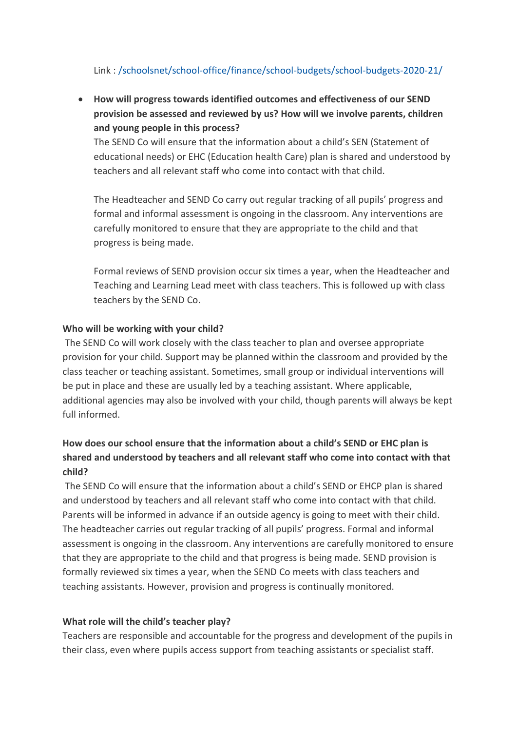# Link : [/schoolsnet/school-office/finance/school-budgets/school-budgets-2020-21/](https://www.gloucestershire.gov.uk/schoolsnet/school-office/finance/school-budgets/school-budgets-2020-21/)

 **How will progress towards identified outcomes and effectiveness of our SEND provision be assessed and reviewed by us? How will we involve parents, children and young people in this process?** 

The SEND Co will ensure that the information about a child's SEN (Statement of educational needs) or EHC (Education health Care) plan is shared and understood by teachers and all relevant staff who come into contact with that child.

The Headteacher and SEND Co carry out regular tracking of all pupils' progress and formal and informal assessment is ongoing in the classroom. Any interventions are carefully monitored to ensure that they are appropriate to the child and that progress is being made.

Formal reviews of SEND provision occur six times a year, when the Headteacher and Teaching and Learning Lead meet with class teachers. This is followed up with class teachers by the SEND Co.

#### **Who will be working with your child?**

The SEND Co will work closely with the class teacher to plan and oversee appropriate provision for your child. Support may be planned within the classroom and provided by the class teacher or teaching assistant. Sometimes, small group or individual interventions will be put in place and these are usually led by a teaching assistant. Where applicable, additional agencies may also be involved with your child, though parents will always be kept full informed.

# **How does our school ensure that the information about a child's SEND or EHC plan is shared and understood by teachers and all relevant staff who come into contact with that child?**

The SEND Co will ensure that the information about a child's SEND or EHCP plan is shared and understood by teachers and all relevant staff who come into contact with that child. Parents will be informed in advance if an outside agency is going to meet with their child. The headteacher carries out regular tracking of all pupils' progress. Formal and informal assessment is ongoing in the classroom. Any interventions are carefully monitored to ensure that they are appropriate to the child and that progress is being made. SEND provision is formally reviewed six times a year, when the SEND Co meets with class teachers and teaching assistants. However, provision and progress is continually monitored.

#### **What role will the child's teacher play?**

Teachers are responsible and accountable for the progress and development of the pupils in their class, even where pupils access support from teaching assistants or specialist staff.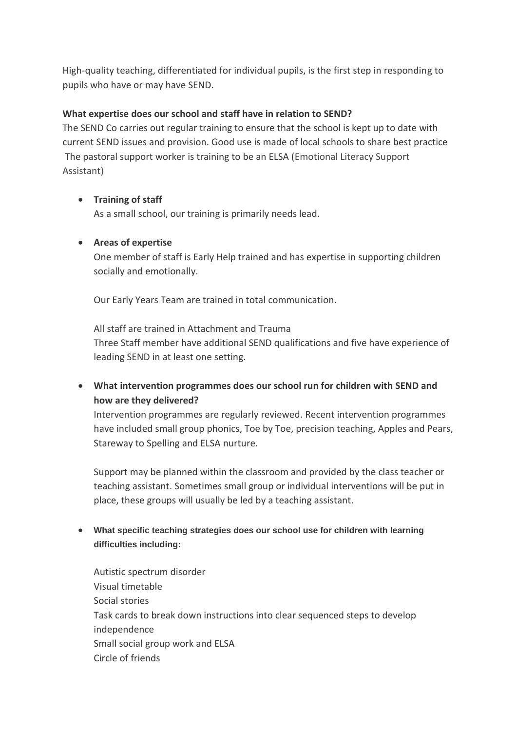High-quality teaching, differentiated for individual pupils, is the first step in responding to pupils who have or may have SEND.

## **What expertise does our school and staff have in relation to SEND?**

The SEND Co carries out regular training to ensure that the school is kept up to date with current SEND issues and provision. Good use is made of local schools to share best practice The pastoral support worker is training to be an ELSA (Emotional Literacy Support Assistant)

# **Training of staff**

As a small school, our training is primarily needs lead.

# **Areas of expertise**

One member of staff is Early Help trained and has expertise in supporting children socially and emotionally.

Our Early Years Team are trained in total communication.

All staff are trained in Attachment and Trauma Three Staff member have additional SEND qualifications and five have experience of leading SEND in at least one setting.

 **What intervention programmes does our school run for children with SEND and how are they delivered?**

Intervention programmes are regularly reviewed. Recent intervention programmes have included small group phonics, Toe by Toe, precision teaching, Apples and Pears, Stareway to Spelling and ELSA nurture.

Support may be planned within the classroom and provided by the class teacher or teaching assistant. Sometimes small group or individual interventions will be put in place, these groups will usually be led by a teaching assistant.

# **What specific teaching strategies does our school use for children with learning difficulties including:**

Autistic spectrum disorder Visual timetable Social stories Task cards to break down instructions into clear sequenced steps to develop independence Small social group work and ELSA Circle of friends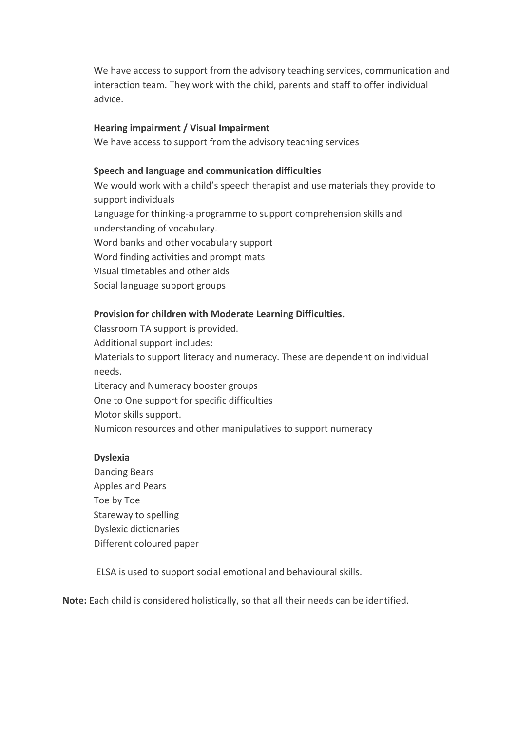We have access to support from the advisory teaching services, communication and interaction team. They work with the child, parents and staff to offer individual advice.

#### **Hearing impairment / Visual Impairment**

We have access to support from the advisory teaching services

#### **Speech and language and communication difficulties**

We would work with a child's speech therapist and use materials they provide to support individuals Language for thinking-a programme to support comprehension skills and understanding of vocabulary. Word banks and other vocabulary support Word finding activities and prompt mats Visual timetables and other aids Social language support groups

### **Provision for children with Moderate Learning Difficulties.**

Classroom TA support is provided. Additional support includes: Materials to support literacy and numeracy. These are dependent on individual needs. Literacy and Numeracy booster groups One to One support for specific difficulties Motor skills support.

Numicon resources and other manipulatives to support numeracy

#### **Dyslexia**

Dancing Bears Apples and Pears Toe by Toe Stareway to spelling Dyslexic dictionaries Different coloured paper

ELSA is used to support social emotional and behavioural skills.

**Note:** Each child is considered holistically, so that all their needs can be identified.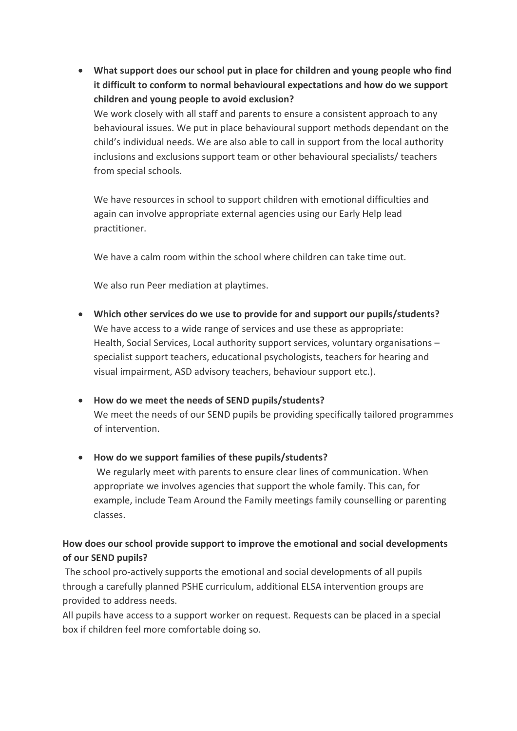**What support does our school put in place for children and young people who find it difficult to conform to normal behavioural expectations and how do we support children and young people to avoid exclusion?**

We work closely with all staff and parents to ensure a consistent approach to any behavioural issues. We put in place behavioural support methods dependant on the child's individual needs. We are also able to call in support from the local authority inclusions and exclusions support team or other behavioural specialists/ teachers from special schools.

We have resources in school to support children with emotional difficulties and again can involve appropriate external agencies using our Early Help lead practitioner.

We have a calm room within the school where children can take time out.

We also run Peer mediation at playtimes.

- **Which other services do we use to provide for and support our pupils/students?**  We have access to a wide range of services and use these as appropriate: Health, Social Services, Local authority support services, voluntary organisations – specialist support teachers, educational psychologists, teachers for hearing and visual impairment, ASD advisory teachers, behaviour support etc.).
- **How do we meet the needs of SEND pupils/students?** We meet the needs of our SEND pupils be providing specifically tailored programmes of intervention.

### **How do we support families of these pupils/students?**

We regularly meet with parents to ensure clear lines of communication. When appropriate we involves agencies that support the whole family. This can, for example, include Team Around the Family meetings family counselling or parenting classes.

# **How does our school provide support to improve the emotional and social developments of our SEND pupils?**

The school pro-actively supports the emotional and social developments of all pupils through a carefully planned PSHE curriculum, additional ELSA intervention groups are provided to address needs.

All pupils have access to a support worker on request. Requests can be placed in a special box if children feel more comfortable doing so.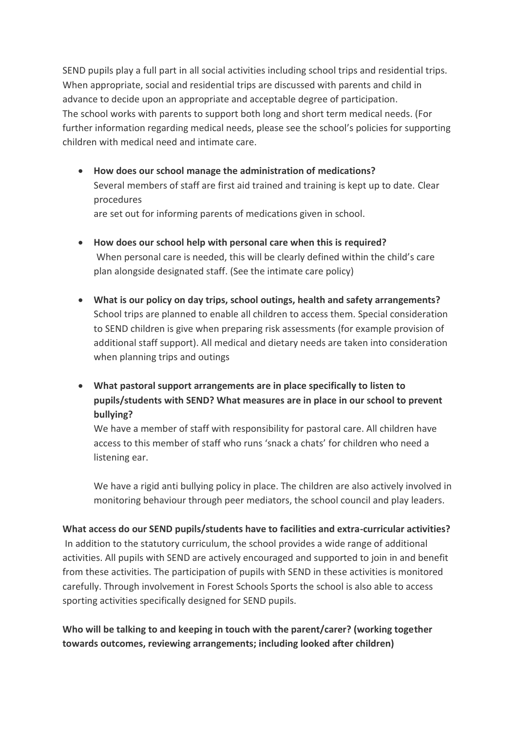SEND pupils play a full part in all social activities including school trips and residential trips. When appropriate, social and residential trips are discussed with parents and child in advance to decide upon an appropriate and acceptable degree of participation. The school works with parents to support both long and short term medical needs. (For further information regarding medical needs, please see the school's policies for supporting children with medical need and intimate care.

- **How does our school manage the administration of medications?** Several members of staff are first aid trained and training is kept up to date. Clear procedures are set out for informing parents of medications given in school.
- **How does our school help with personal care when this is required?** When personal care is needed, this will be clearly defined within the child's care plan alongside designated staff. (See the intimate care policy)
- **What is our policy on day trips, school outings, health and safety arrangements?** School trips are planned to enable all children to access them. Special consideration to SEND children is give when preparing risk assessments (for example provision of additional staff support). All medical and dietary needs are taken into consideration when planning trips and outings
- **What pastoral support arrangements are in place specifically to listen to pupils/students with SEND? What measures are in place in our school to prevent bullying?**

We have a member of staff with responsibility for pastoral care. All children have access to this member of staff who runs 'snack a chats' for children who need a listening ear.

We have a rigid anti bullying policy in place. The children are also actively involved in monitoring behaviour through peer mediators, the school council and play leaders.

### **What access do our SEND pupils/students have to facilities and extra-curricular activities?**

In addition to the statutory curriculum, the school provides a wide range of additional activities. All pupils with SEND are actively encouraged and supported to join in and benefit from these activities. The participation of pupils with SEND in these activities is monitored carefully. Through involvement in Forest Schools Sports the school is also able to access sporting activities specifically designed for SEND pupils.

# **Who will be talking to and keeping in touch with the parent/carer? (working together towards outcomes, reviewing arrangements; including looked after children)**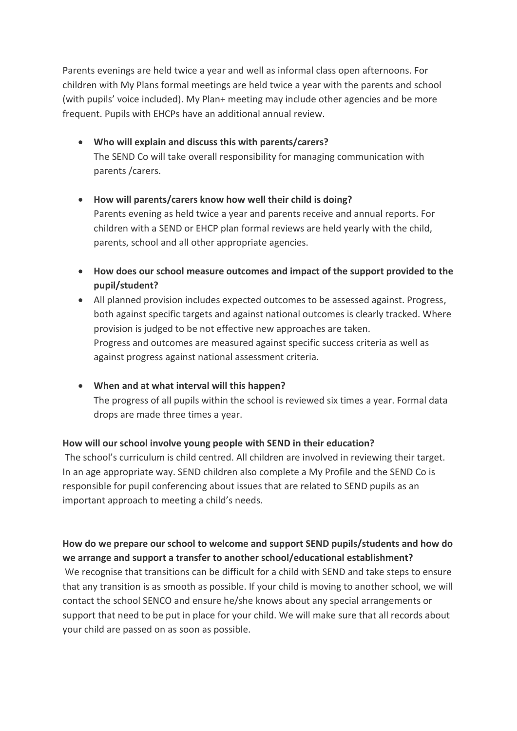Parents evenings are held twice a year and well as informal class open afternoons. For children with My Plans formal meetings are held twice a year with the parents and school (with pupils' voice included). My Plan+ meeting may include other agencies and be more frequent. Pupils with EHCPs have an additional annual review.

- **Who will explain and discuss this with parents/carers?** The SEND Co will take overall responsibility for managing communication with parents /carers.
- **How will parents/carers know how well their child is doing?** Parents evening as held twice a year and parents receive and annual reports. For children with a SEND or EHCP plan formal reviews are held yearly with the child, parents, school and all other appropriate agencies.
- **How does our school measure outcomes and impact of the support provided to the pupil/student?**
- All planned provision includes expected outcomes to be assessed against. Progress, both against specific targets and against national outcomes is clearly tracked. Where provision is judged to be not effective new approaches are taken. Progress and outcomes are measured against specific success criteria as well as against progress against national assessment criteria.
- **When and at what interval will this happen?**

The progress of all pupils within the school is reviewed six times a year. Formal data drops are made three times a year.

### **How will our school involve young people with SEND in their education?**

The school's curriculum is child centred. All children are involved in reviewing their target. In an age appropriate way. SEND children also complete a My Profile and the SEND Co is responsible for pupil conferencing about issues that are related to SEND pupils as an important approach to meeting a child's needs.

# **How do we prepare our school to welcome and support SEND pupils/students and how do we arrange and support a transfer to another school/educational establishment?**

We recognise that transitions can be difficult for a child with SEND and take steps to ensure that any transition is as smooth as possible. If your child is moving to another school, we will contact the school SENCO and ensure he/she knows about any special arrangements or support that need to be put in place for your child. We will make sure that all records about your child are passed on as soon as possible.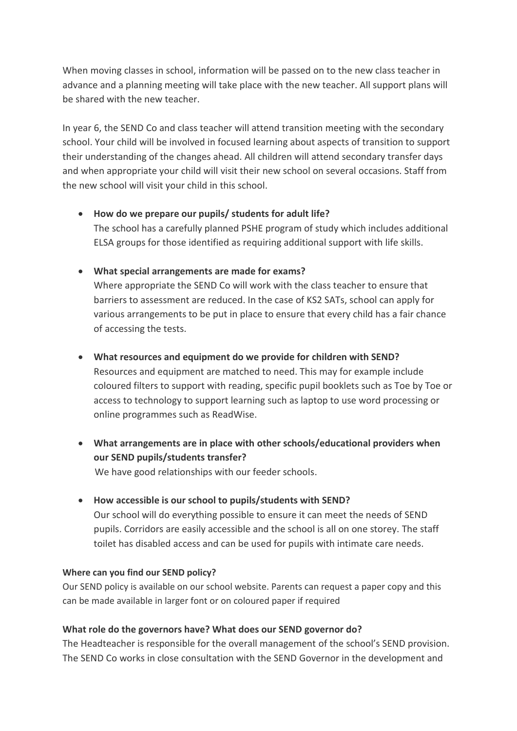When moving classes in school, information will be passed on to the new class teacher in advance and a planning meeting will take place with the new teacher. All support plans will be shared with the new teacher.

In year 6, the SEND Co and class teacher will attend transition meeting with the secondary school. Your child will be involved in focused learning about aspects of transition to support their understanding of the changes ahead. All children will attend secondary transfer days and when appropriate your child will visit their new school on several occasions. Staff from the new school will visit your child in this school.

- **How do we prepare our pupils/ students for adult life?**  The school has a carefully planned PSHE program of study which includes additional ELSA groups for those identified as requiring additional support with life skills.
- **What special arrangements are made for exams?**

Where appropriate the SEND Co will work with the class teacher to ensure that barriers to assessment are reduced. In the case of KS2 SATs, school can apply for various arrangements to be put in place to ensure that every child has a fair chance of accessing the tests.

**What resources and equipment do we provide for children with SEND?**

Resources and equipment are matched to need. This may for example include coloured filters to support with reading, specific pupil booklets such as Toe by Toe or access to technology to support learning such as laptop to use word processing or online programmes such as ReadWise.

- **What arrangements are in place with other schools/educational providers when our SEND pupils/students transfer?** We have good relationships with our feeder schools.
- **How accessible is our school to pupils/students with SEND?** Our school will do everything possible to ensure it can meet the needs of SEND pupils. Corridors are easily accessible and the school is all on one storey. The staff toilet has disabled access and can be used for pupils with intimate care needs.

### **Where can you find our SEND policy?**

Our SEND policy is available on our school website. Parents can request a paper copy and this can be made available in larger font or on coloured paper if required

# **What role do the governors have? What does our SEND governor do?**

The Headteacher is responsible for the overall management of the school's SEND provision. The SEND Co works in close consultation with the SEND Governor in the development and